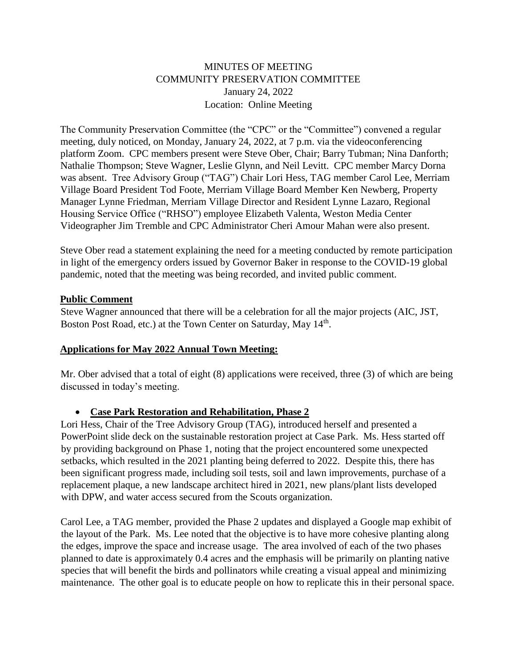# MINUTES OF MEETING COMMUNITY PRESERVATION COMMITTEE January 24, 2022 Location: Online Meeting

The Community Preservation Committee (the "CPC" or the "Committee") convened a regular meeting, duly noticed, on Monday, January 24, 2022, at 7 p.m. via the videoconferencing platform Zoom. CPC members present were Steve Ober, Chair; Barry Tubman; Nina Danforth; Nathalie Thompson; Steve Wagner, Leslie Glynn, and Neil Levitt. CPC member Marcy Dorna was absent. Tree Advisory Group ("TAG") Chair Lori Hess, TAG member Carol Lee, Merriam Village Board President Tod Foote, Merriam Village Board Member Ken Newberg, Property Manager Lynne Friedman, Merriam Village Director and Resident Lynne Lazaro, Regional Housing Service Office ("RHSO") employee Elizabeth Valenta, Weston Media Center Videographer Jim Tremble and CPC Administrator Cheri Amour Mahan were also present.

Steve Ober read a statement explaining the need for a meeting conducted by remote participation in light of the emergency orders issued by Governor Baker in response to the COVID-19 global pandemic, noted that the meeting was being recorded, and invited public comment.

#### **Public Comment**

Steve Wagner announced that there will be a celebration for all the major projects (AIC, JST, Boston Post Road, etc.) at the Town Center on Saturday, May 14<sup>th</sup>.

## **Applications for May 2022 Annual Town Meeting:**

Mr. Ober advised that a total of eight (8) applications were received, three (3) of which are being discussed in today's meeting.

## • **Case Park Restoration and Rehabilitation, Phase 2**

Lori Hess, Chair of the Tree Advisory Group (TAG), introduced herself and presented a PowerPoint slide deck on the sustainable restoration project at Case Park. Ms. Hess started off by providing background on Phase 1, noting that the project encountered some unexpected setbacks, which resulted in the 2021 planting being deferred to 2022. Despite this, there has been significant progress made, including soil tests, soil and lawn improvements, purchase of a replacement plaque, a new landscape architect hired in 2021, new plans/plant lists developed with DPW, and water access secured from the Scouts organization.

Carol Lee, a TAG member, provided the Phase 2 updates and displayed a Google map exhibit of the layout of the Park. Ms. Lee noted that the objective is to have more cohesive planting along the edges, improve the space and increase usage. The area involved of each of the two phases planned to date is approximately 0.4 acres and the emphasis will be primarily on planting native species that will benefit the birds and pollinators while creating a visual appeal and minimizing maintenance. The other goal is to educate people on how to replicate this in their personal space.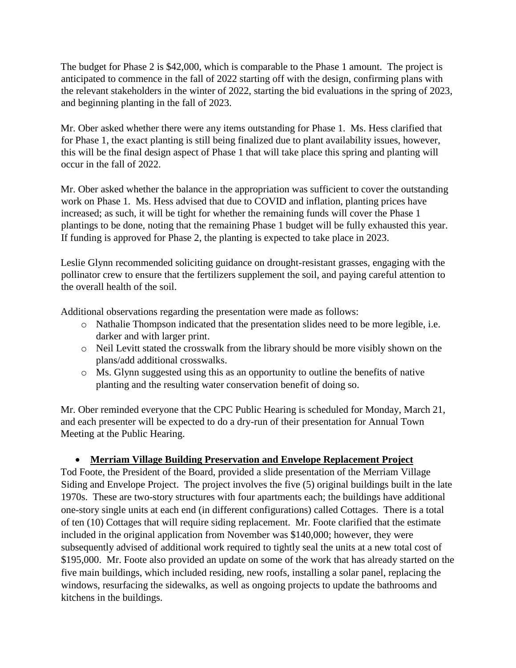The budget for Phase 2 is \$42,000, which is comparable to the Phase 1 amount. The project is anticipated to commence in the fall of 2022 starting off with the design, confirming plans with the relevant stakeholders in the winter of 2022, starting the bid evaluations in the spring of 2023, and beginning planting in the fall of 2023.

Mr. Ober asked whether there were any items outstanding for Phase 1. Ms. Hess clarified that for Phase 1, the exact planting is still being finalized due to plant availability issues, however, this will be the final design aspect of Phase 1 that will take place this spring and planting will occur in the fall of 2022.

Mr. Ober asked whether the balance in the appropriation was sufficient to cover the outstanding work on Phase 1. Ms. Hess advised that due to COVID and inflation, planting prices have increased; as such, it will be tight for whether the remaining funds will cover the Phase 1 plantings to be done, noting that the remaining Phase 1 budget will be fully exhausted this year. If funding is approved for Phase 2, the planting is expected to take place in 2023.

Leslie Glynn recommended soliciting guidance on drought-resistant grasses, engaging with the pollinator crew to ensure that the fertilizers supplement the soil, and paying careful attention to the overall health of the soil.

Additional observations regarding the presentation were made as follows:

- o Nathalie Thompson indicated that the presentation slides need to be more legible, i.e. darker and with larger print.
- o Neil Levitt stated the crosswalk from the library should be more visibly shown on the plans/add additional crosswalks.
- o Ms. Glynn suggested using this as an opportunity to outline the benefits of native planting and the resulting water conservation benefit of doing so.

Mr. Ober reminded everyone that the CPC Public Hearing is scheduled for Monday, March 21, and each presenter will be expected to do a dry-run of their presentation for Annual Town Meeting at the Public Hearing.

## • **Merriam Village Building Preservation and Envelope Replacement Project**

Tod Foote, the President of the Board, provided a slide presentation of the Merriam Village Siding and Envelope Project. The project involves the five (5) original buildings built in the late 1970s. These are two-story structures with four apartments each; the buildings have additional one-story single units at each end (in different configurations) called Cottages. There is a total of ten (10) Cottages that will require siding replacement. Mr. Foote clarified that the estimate included in the original application from November was \$140,000; however, they were subsequently advised of additional work required to tightly seal the units at a new total cost of \$195,000. Mr. Foote also provided an update on some of the work that has already started on the five main buildings, which included residing, new roofs, installing a solar panel, replacing the windows, resurfacing the sidewalks, as well as ongoing projects to update the bathrooms and kitchens in the buildings.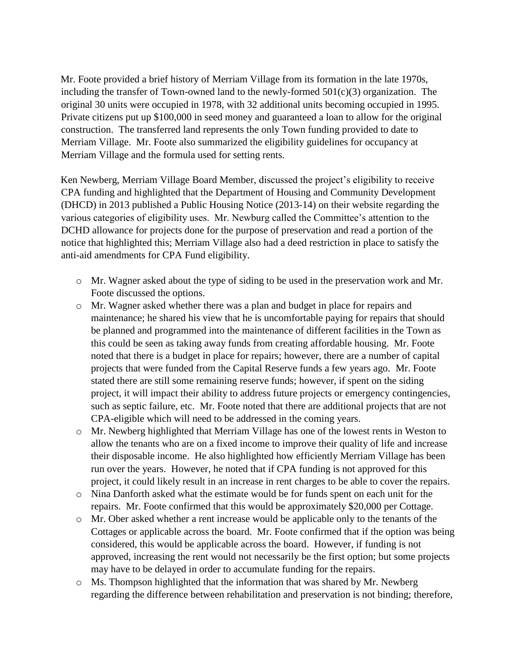Mr. Foote provided a brief history of Merriam Village from its formation in the late 1970s, including the transfer of Town-owned land to the newly-formed  $501(c)(3)$  organization. The original 30 units were occupied in 1978, with 32 additional units becoming occupied in 1995. Private citizens put up \$100,000 in seed money and guaranteed a loan to allow for the original construction. The transferred land represents the only Town funding provided to date to Merriam Village. Mr. Foote also summarized the eligibility guidelines for occupancy at Merriam Village and the formula used for setting rents.

Ken Newberg, Merriam Village Board Member, discussed the project's eligibility to receive CPA funding and highlighted that the Department of Housing and Community Development (DHCD) in 2013 published a Public Housing Notice (2013-14) on their website regarding the various categories of eligibility uses. Mr. Newburg called the Committee's attention to the DCHD allowance for projects done for the purpose of preservation and read a portion of the notice that highlighted this; Merriam Village also had a deed restriction in place to satisfy the anti-aid amendments for CPA Fund eligibility.

- o Mr. Wagner asked about the type of siding to be used in the preservation work and Mr. Foote discussed the options.
- o Mr. Wagner asked whether there was a plan and budget in place for repairs and maintenance; he shared his view that he is uncomfortable paying for repairs that should be planned and programmed into the maintenance of different facilities in the Town as this could be seen as taking away funds from creating affordable housing. Mr. Foote noted that there is a budget in place for repairs; however, there are a number of capital projects that were funded from the Capital Reserve funds a few years ago. Mr. Foote stated there are still some remaining reserve funds; however, if spent on the siding project, it will impact their ability to address future projects or emergency contingencies, such as septic failure, etc. Mr. Foote noted that there are additional projects that are not CPA-eligible which will need to be addressed in the coming years.
- o Mr. Newberg highlighted that Merriam Village has one of the lowest rents in Weston to allow the tenants who are on a fixed income to improve their quality of life and increase their disposable income. He also highlighted how efficiently Merriam Village has been run over the years. However, he noted that if CPA funding is not approved for this project, it could likely result in an increase in rent charges to be able to cover the repairs.
- o Nina Danforth asked what the estimate would be for funds spent on each unit for the repairs. Mr. Foote confirmed that this would be approximately \$20,000 per Cottage.
- o Mr. Ober asked whether a rent increase would be applicable only to the tenants of the Cottages or applicable across the board. Mr. Foote confirmed that if the option was being considered, this would be applicable across the board. However, if funding is not approved, increasing the rent would not necessarily be the first option; but some projects may have to be delayed in order to accumulate funding for the repairs.
- o Ms. Thompson highlighted that the information that was shared by Mr. Newberg regarding the difference between rehabilitation and preservation is not binding; therefore,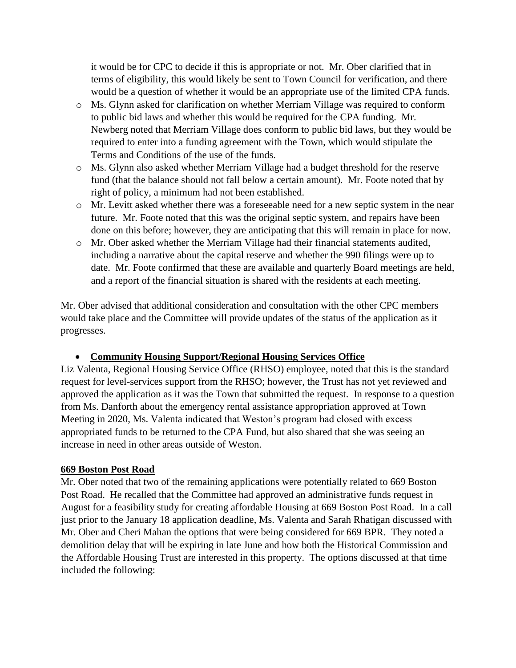it would be for CPC to decide if this is appropriate or not. Mr. Ober clarified that in terms of eligibility, this would likely be sent to Town Council for verification, and there would be a question of whether it would be an appropriate use of the limited CPA funds.

- o Ms. Glynn asked for clarification on whether Merriam Village was required to conform to public bid laws and whether this would be required for the CPA funding. Mr. Newberg noted that Merriam Village does conform to public bid laws, but they would be required to enter into a funding agreement with the Town, which would stipulate the Terms and Conditions of the use of the funds.
- o Ms. Glynn also asked whether Merriam Village had a budget threshold for the reserve fund (that the balance should not fall below a certain amount). Mr. Foote noted that by right of policy, a minimum had not been established.
- $\circ$  Mr. Levitt asked whether there was a foreseeable need for a new septic system in the near future. Mr. Foote noted that this was the original septic system, and repairs have been done on this before; however, they are anticipating that this will remain in place for now.
- o Mr. Ober asked whether the Merriam Village had their financial statements audited, including a narrative about the capital reserve and whether the 990 filings were up to date. Mr. Foote confirmed that these are available and quarterly Board meetings are held, and a report of the financial situation is shared with the residents at each meeting.

Mr. Ober advised that additional consideration and consultation with the other CPC members would take place and the Committee will provide updates of the status of the application as it progresses.

## • **Community Housing Support/Regional Housing Services Office**

Liz Valenta, Regional Housing Service Office (RHSO) employee, noted that this is the standard request for level-services support from the RHSO; however, the Trust has not yet reviewed and approved the application as it was the Town that submitted the request. In response to a question from Ms. Danforth about the emergency rental assistance appropriation approved at Town Meeting in 2020, Ms. Valenta indicated that Weston's program had closed with excess appropriated funds to be returned to the CPA Fund, but also shared that she was seeing an increase in need in other areas outside of Weston.

## **669 Boston Post Road**

Mr. Ober noted that two of the remaining applications were potentially related to 669 Boston Post Road. He recalled that the Committee had approved an administrative funds request in August for a feasibility study for creating affordable Housing at 669 Boston Post Road. In a call just prior to the January 18 application deadline, Ms. Valenta and Sarah Rhatigan discussed with Mr. Ober and Cheri Mahan the options that were being considered for 669 BPR. They noted a demolition delay that will be expiring in late June and how both the Historical Commission and the Affordable Housing Trust are interested in this property. The options discussed at that time included the following: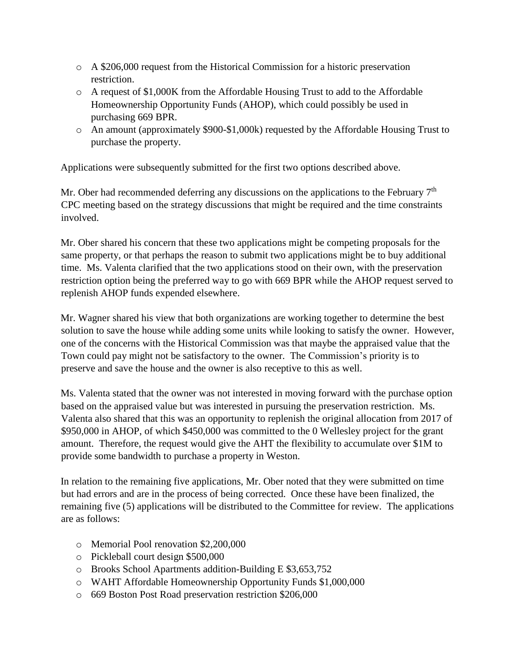- o A \$206,000 request from the Historical Commission for a historic preservation restriction.
- o A request of \$1,000K from the Affordable Housing Trust to add to the Affordable Homeownership Opportunity Funds (AHOP), which could possibly be used in purchasing 669 BPR.
- o An amount (approximately \$900-\$1,000k) requested by the Affordable Housing Trust to purchase the property.

Applications were subsequently submitted for the first two options described above.

Mr. Ober had recommended deferring any discussions on the applications to the February 7<sup>th</sup> CPC meeting based on the strategy discussions that might be required and the time constraints involved.

Mr. Ober shared his concern that these two applications might be competing proposals for the same property, or that perhaps the reason to submit two applications might be to buy additional time. Ms. Valenta clarified that the two applications stood on their own, with the preservation restriction option being the preferred way to go with 669 BPR while the AHOP request served to replenish AHOP funds expended elsewhere.

Mr. Wagner shared his view that both organizations are working together to determine the best solution to save the house while adding some units while looking to satisfy the owner. However, one of the concerns with the Historical Commission was that maybe the appraised value that the Town could pay might not be satisfactory to the owner. The Commission's priority is to preserve and save the house and the owner is also receptive to this as well.

Ms. Valenta stated that the owner was not interested in moving forward with the purchase option based on the appraised value but was interested in pursuing the preservation restriction. Ms. Valenta also shared that this was an opportunity to replenish the original allocation from 2017 of \$950,000 in AHOP, of which \$450,000 was committed to the 0 Wellesley project for the grant amount. Therefore, the request would give the AHT the flexibility to accumulate over \$1M to provide some bandwidth to purchase a property in Weston.

In relation to the remaining five applications, Mr. Ober noted that they were submitted on time but had errors and are in the process of being corrected. Once these have been finalized, the remaining five (5) applications will be distributed to the Committee for review. The applications are as follows:

- o Memorial Pool renovation \$2,200,000
- o Pickleball court design \$500,000
- o Brooks School Apartments addition-Building E \$3,653,752
- o WAHT Affordable Homeownership Opportunity Funds \$1,000,000
- o 669 Boston Post Road preservation restriction \$206,000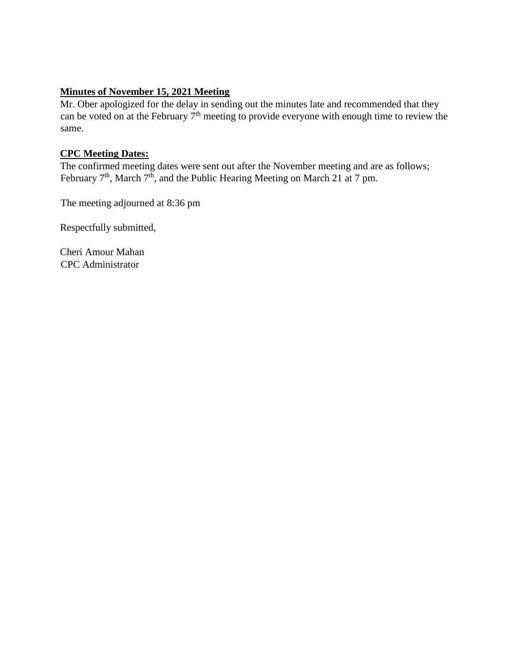# **Minutes of November 15, 2021 Meeting**

Mr. Ober apologized for the delay in sending out the minutes late and recommended that they can be voted on at the February  $7<sup>th</sup>$  meeting to provide everyone with enough time to review the same.

#### **CPC Meeting Dates:**

The confirmed meeting dates were sent out after the November meeting and are as follows; February  $7<sup>th</sup>$ , March  $7<sup>th</sup>$ , and the Public Hearing Meeting on March 21 at 7 pm.

The meeting adjourned at 8:36 pm

Respectfully submitted,

Cheri Amour Mahan CPC Administrator